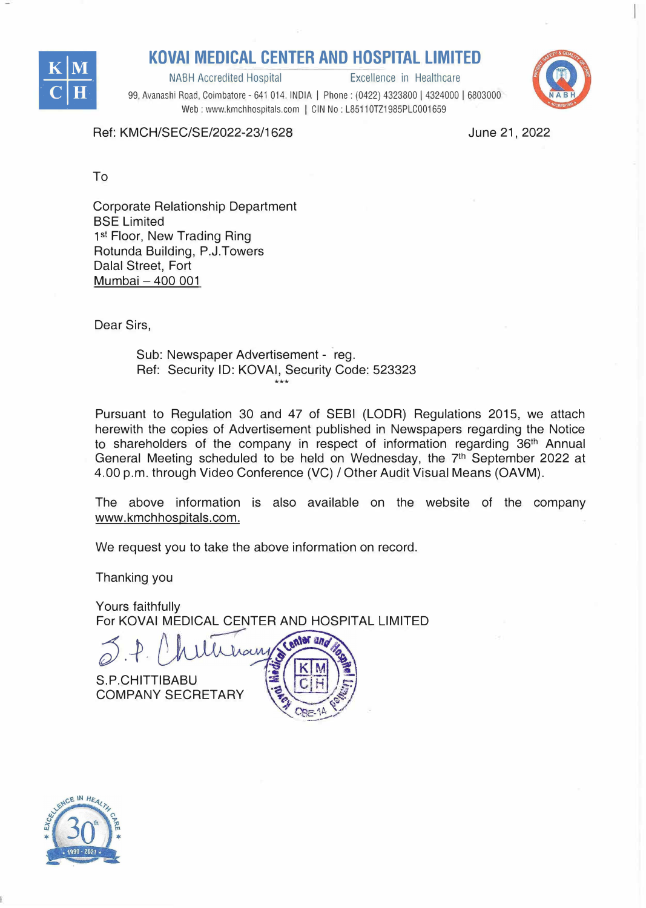

NABH Accredited Hospital



99, Avanashi Road, Coimbatore - 641 014. INDIA | Phone: (0422) 4323800 | 4324000 | 6803000 Web : www.kmchhospitals.com | CIN No : L85110TZ1985PLC001659

Ref: KMCH/SEC/SE/2022-23/1628

June 21, 2022

To

Corporate Relationship Department BSE Limited 1<sup>st</sup> Floor, New Trading Ring Rotunda Building, P.J.Towers Dalal Street, Fort Mumbai - 400 001

Dear Sirs,

Sub: Newspaper Advertisement - reg. Ref: Security ID: KOVAi, Security Code: 523323 \*\*\*

Pursuant to Regulation 30 and 47 of SEBI (LODR) Regulations 2015, we attach herewith the copies of Advertisement published in Newspapers regarding the Notice to shareholders of the company in respect of information regarding 36<sup>th</sup> Annual General Meeting scheduled to be held on Wednesday, the  $7<sup>th</sup>$  September 2022 at 4.00 p.m. through Video Conference (VG) / Other Audit Visual Means (OAVM).

The above information is also available on the website of the company www.kmchhospitals.com.

> **Bally Property**

 $5.14$  $\frac{1}{2}$ 

We request you to take the above information on record.

Thanking you

Yours faithfully For KOVAi MEDICAL CENTER AND HOSPITAL LIMITED

enter and *o).�-*

S.P.CHITTIBABU **COMPANY SECRETARY**